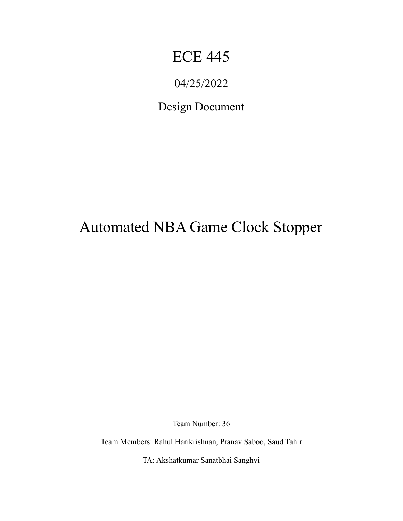# ECE 445

# 04/25/2022

# Design Document

# Automated NBA Game Clock Stopper

Team Number: 36

Team Members: Rahul Harikrishnan, Pranav Saboo, Saud Tahir

TA: Akshatkumar Sanatbhai Sanghvi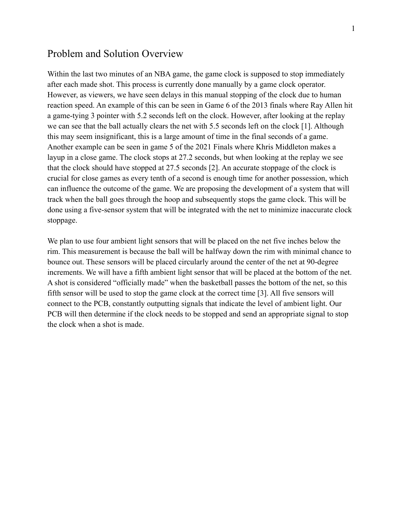#### Problem and Solution Overview

Within the last two minutes of an NBA game, the game clock is supposed to stop immediately after each made shot. This process is currently done manually by a game clock operator. However, as viewers, we have seen delays in this manual stopping of the clock due to human reaction speed. An example of this can be seen in Game 6 of the 2013 finals where Ray Allen hit a game-tying 3 pointer with 5.2 seconds left on the clock. However, after looking at the replay we can see that the ball actually clears the net with 5.5 seconds left on the clock [1]. Although this may seem insignificant, this is a large amount of time in the final seconds of a game. Another example can be seen in game 5 of the 2021 Finals where Khris Middleton makes a layup in a close game. The clock stops at 27.2 seconds, but when looking at the replay we see that the clock should have stopped at 27.5 seconds [2]. An accurate stoppage of the clock is crucial for close games as every tenth of a second is enough time for another possession, which can influence the outcome of the game. We are proposing the development of a system that will track when the ball goes through the hoop and subsequently stops the game clock. This will be done using a five-sensor system that will be integrated with the net to minimize inaccurate clock stoppage.

We plan to use four ambient light sensors that will be placed on the net five inches below the rim. This measurement is because the ball will be halfway down the rim with minimal chance to bounce out. These sensors will be placed circularly around the center of the net at 90-degree increments. We will have a fifth ambient light sensor that will be placed at the bottom of the net. A shot is considered "officially made" when the basketball passes the bottom of the net, so this fifth sensor will be used to stop the game clock at the correct time [3]. All five sensors will connect to the PCB, constantly outputting signals that indicate the level of ambient light. Our PCB will then determine if the clock needs to be stopped and send an appropriate signal to stop the clock when a shot is made.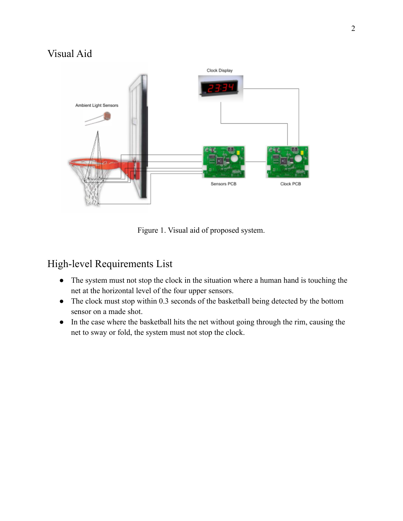## Visual Aid



Figure 1. Visual aid of proposed system.

### High-level Requirements List

- The system must not stop the clock in the situation where a human hand is touching the net at the horizontal level of the four upper sensors.
- The clock must stop within 0.3 seconds of the basketball being detected by the bottom sensor on a made shot.
- In the case where the basketball hits the net without going through the rim, causing the net to sway or fold, the system must not stop the clock.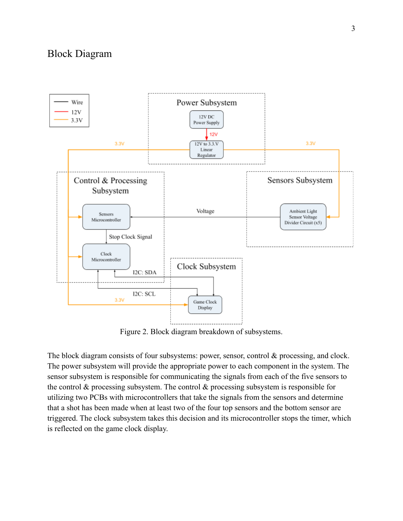#### Block Diagram



Figure 2. Block diagram breakdown of subsystems.

The block diagram consists of four subsystems: power, sensor, control & processing, and clock. The power subsystem will provide the appropriate power to each component in the system. The sensor subsystem is responsible for communicating the signals from each of the five sensors to the control  $\&$  processing subsystem. The control  $\&$  processing subsystem is responsible for utilizing two PCBs with microcontrollers that take the signals from the sensors and determine that a shot has been made when at least two of the four top sensors and the bottom sensor are triggered. The clock subsystem takes this decision and its microcontroller stops the timer, which is reflected on the game clock display.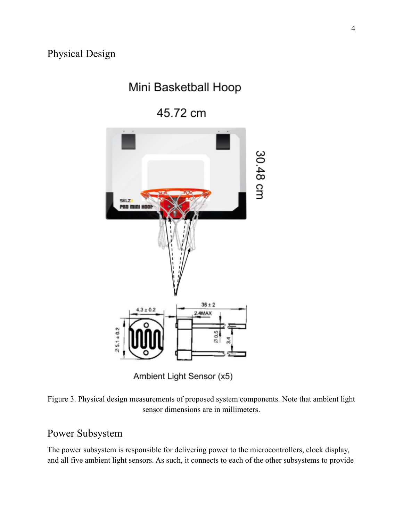## Mini Basketball Hoop

45.72 cm



Ambient Light Sensor (x5)



#### Power Subsystem

The power subsystem is responsible for delivering power to the microcontrollers, clock display, and all five ambient light sensors. As such, it connects to each of the other subsystems to provide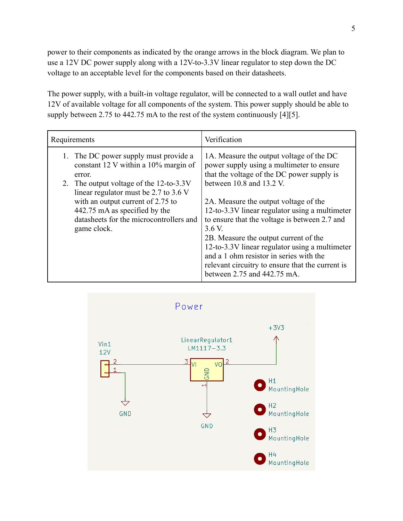power to their components as indicated by the orange arrows in the block diagram. We plan to use a 12V DC power supply along with a 12V-to-3.3V linear regulator to step down the DC voltage to an acceptable level for the components based on their datasheets.

The power supply, with a built-in voltage regulator, will be connected to a wall outlet and have 12V of available voltage for all components of the system. This power supply should be able to supply between 2.75 to 442.75 mA to the rest of the system continuously [4][5].

| Requirements                                                                                                                                                                                                     | Verification                                                                                                                                                                                                                                                                                                                                                                                                |  |
|------------------------------------------------------------------------------------------------------------------------------------------------------------------------------------------------------------------|-------------------------------------------------------------------------------------------------------------------------------------------------------------------------------------------------------------------------------------------------------------------------------------------------------------------------------------------------------------------------------------------------------------|--|
| 1. The DC power supply must provide a<br>constant 12 V within a 10% margin of<br>error.                                                                                                                          | 1A. Measure the output voltage of the DC<br>power supply using a multimeter to ensure<br>that the voltage of the DC power supply is                                                                                                                                                                                                                                                                         |  |
| 2. The output voltage of the 12-to-3.3V<br>linear regulator must be 2.7 to 3.6 V<br>with an output current of 2.75 to<br>442.75 mA as specified by the<br>datasheets for the microcontrollers and<br>game clock. | between $10.8$ and $13.2$ V.<br>2A. Measure the output voltage of the<br>12-to-3.3V linear regulator using a multimeter<br>to ensure that the voltage is between 2.7 and<br>3.6 V.<br>2B. Measure the output current of the<br>12-to-3.3V linear regulator using a multimeter<br>and a 1 ohm resistor in series with the<br>relevant circuitry to ensure that the current is<br>between 2.75 and 442.75 mA. |  |

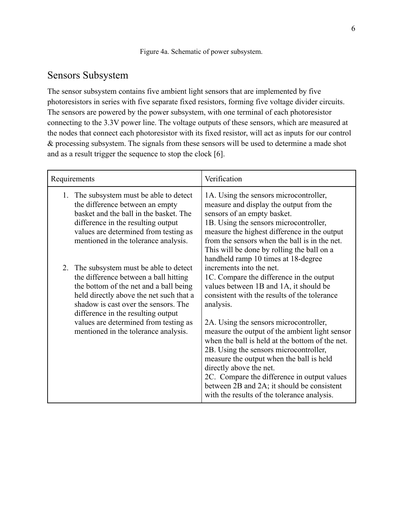#### Sensors Subsystem

The sensor subsystem contains five ambient light sensors that are implemented by five photoresistors in series with five separate fixed resistors, forming five voltage divider circuits. The sensors are powered by the power subsystem, with one terminal of each photoresistor connecting to the 3.3V power line. The voltage outputs of these sensors, which are measured at the nodes that connect each photoresistor with its fixed resistor, will act as inputs for our control & processing subsystem. The signals from these sensors will be used to determine a made shot and as a result trigger the sequence to stop the clock [6].

| Requirements                                                                                                                                                                                                                                        | Verification                                                                                                                                                                                                                                                                                                                                                                                             |  |
|-----------------------------------------------------------------------------------------------------------------------------------------------------------------------------------------------------------------------------------------------------|----------------------------------------------------------------------------------------------------------------------------------------------------------------------------------------------------------------------------------------------------------------------------------------------------------------------------------------------------------------------------------------------------------|--|
| The subsystem must be able to detect<br>$1_{-}$<br>the difference between an empty<br>basket and the ball in the basket. The<br>difference in the resulting output<br>values are determined from testing as<br>mentioned in the tolerance analysis. | 1A. Using the sensors microcontroller,<br>measure and display the output from the<br>sensors of an empty basket.<br>1B. Using the sensors microcontroller,<br>measure the highest difference in the output<br>from the sensors when the ball is in the net.<br>This will be done by rolling the ball on a<br>handheld ramp 10 times at 18-degree                                                         |  |
| 2. The subsystem must be able to detect<br>the difference between a ball hitting<br>the bottom of the net and a ball being<br>held directly above the net such that a<br>shadow is cast over the sensors. The<br>difference in the resulting output | increments into the net.<br>1C. Compare the difference in the output<br>values between 1B and 1A, it should be<br>consistent with the results of the tolerance<br>analysis.                                                                                                                                                                                                                              |  |
| values are determined from testing as<br>mentioned in the tolerance analysis.                                                                                                                                                                       | 2A. Using the sensors microcontroller,<br>measure the output of the ambient light sensor<br>when the ball is held at the bottom of the net.<br>2B. Using the sensors microcontroller,<br>measure the output when the ball is held<br>directly above the net.<br>2C. Compare the difference in output values<br>between 2B and 2A; it should be consistent<br>with the results of the tolerance analysis. |  |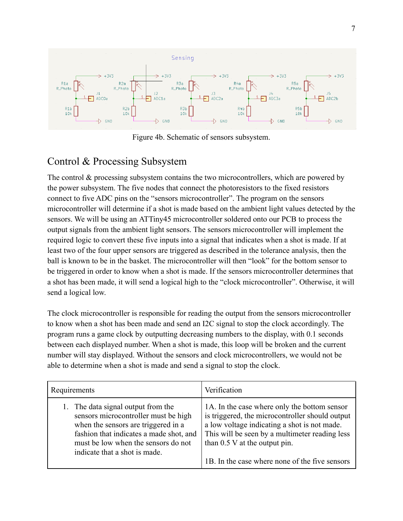

Figure 4b. Schematic of sensors subsystem.

### Control & Processing Subsystem

The control & processing subsystem contains the two microcontrollers, which are powered by the power subsystem. The five nodes that connect the photoresistors to the fixed resistors connect to five ADC pins on the "sensors microcontroller". The program on the sensors microcontroller will determine if a shot is made based on the ambient light values detected by the sensors. We will be using an ATTiny45 microcontroller soldered onto our PCB to process the output signals from the ambient light sensors. The sensors microcontroller will implement the required logic to convert these five inputs into a signal that indicates when a shot is made. If at least two of the four upper sensors are triggered as described in the tolerance analysis, then the ball is known to be in the basket. The microcontroller will then "look" for the bottom sensor to be triggered in order to know when a shot is made. If the sensors microcontroller determines that a shot has been made, it will send a logical high to the "clock microcontroller". Otherwise, it will send a logical low.

The clock microcontroller is responsible for reading the output from the sensors microcontroller to know when a shot has been made and send an I2C signal to stop the clock accordingly. The program runs a game clock by outputting decreasing numbers to the display, with 0.1 seconds between each displayed number. When a shot is made, this loop will be broken and the current number will stay displayed. Without the sensors and clock microcontrollers, we would not be able to determine when a shot is made and send a signal to stop the clock.

| Requirements                            | Verification                                    |  |
|-----------------------------------------|-------------------------------------------------|--|
| 1. The data signal output from the      | 1A. In the case where only the bottom sensor    |  |
| sensors microcontroller must be high    | is triggered, the microcontroller should output |  |
| when the sensors are triggered in a     | a low voltage indicating a shot is not made.    |  |
| fashion that indicates a made shot, and | This will be seen by a multimeter reading less  |  |
| must be low when the sensors do not     | than $0.5$ V at the output pin.                 |  |
| indicate that a shot is made.           | 1B. In the case where none of the five sensors  |  |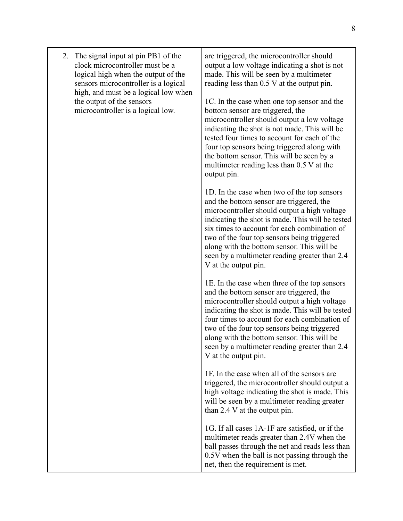|  | 2. The signal input at pin PB1 of the<br>clock microcontroller must be a<br>logical high when the output of the<br>sensors microcontroller is a logical<br>high, and must be a logical low when<br>the output of the sensors<br>microcontroller is a logical low. | are triggered, the microcontroller should<br>output a low voltage indicating a shot is not<br>made. This will be seen by a multimeter<br>reading less than 0.5 V at the output pin.<br>1C. In the case when one top sensor and the<br>bottom sensor are triggered, the<br>microcontroller should output a low voltage<br>indicating the shot is not made. This will be<br>tested four times to account for each of the<br>four top sensors being triggered along with<br>the bottom sensor. This will be seen by a<br>multimeter reading less than 0.5 V at the<br>output pin. |
|--|-------------------------------------------------------------------------------------------------------------------------------------------------------------------------------------------------------------------------------------------------------------------|--------------------------------------------------------------------------------------------------------------------------------------------------------------------------------------------------------------------------------------------------------------------------------------------------------------------------------------------------------------------------------------------------------------------------------------------------------------------------------------------------------------------------------------------------------------------------------|
|  |                                                                                                                                                                                                                                                                   | 1D. In the case when two of the top sensors<br>and the bottom sensor are triggered, the<br>microcontroller should output a high voltage<br>indicating the shot is made. This will be tested<br>six times to account for each combination of<br>two of the four top sensors being triggered<br>along with the bottom sensor. This will be<br>seen by a multimeter reading greater than 2.4<br>V at the output pin.                                                                                                                                                              |
|  |                                                                                                                                                                                                                                                                   | 1E. In the case when three of the top sensors<br>and the bottom sensor are triggered, the<br>microcontroller should output a high voltage<br>indicating the shot is made. This will be tested<br>four times to account for each combination of<br>two of the four top sensors being triggered<br>along with the bottom sensor. This will be<br>seen by a multimeter reading greater than 2.4<br>V at the output pin.                                                                                                                                                           |
|  |                                                                                                                                                                                                                                                                   | 1F. In the case when all of the sensors are<br>triggered, the microcontroller should output a<br>high voltage indicating the shot is made. This<br>will be seen by a multimeter reading greater<br>than 2.4 V at the output pin.                                                                                                                                                                                                                                                                                                                                               |
|  |                                                                                                                                                                                                                                                                   | 1G. If all cases 1A-1F are satisfied, or if the<br>multimeter reads greater than 2.4V when the<br>ball passes through the net and reads less than<br>0.5V when the ball is not passing through the<br>net, then the requirement is met.                                                                                                                                                                                                                                                                                                                                        |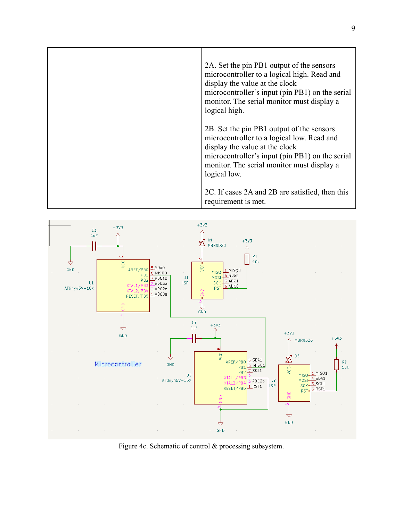| 2A. Set the pin PB1 output of the sensors<br>microcontroller to a logical high. Read and<br>display the value at the clock<br>microcontroller's input (pin PB1) on the serial<br>monitor. The serial monitor must display a<br>logical high. |
|----------------------------------------------------------------------------------------------------------------------------------------------------------------------------------------------------------------------------------------------|
| 2B. Set the pin PB1 output of the sensors<br>microcontroller to a logical low. Read and<br>display the value at the clock<br>microcontroller's input (pin PB1) on the serial<br>monitor. The serial monitor must display a<br>logical low.   |
| 2C. If cases 2A and 2B are satisfied, then this<br>requirement is met.                                                                                                                                                                       |



Figure 4c. Schematic of control & processing subsystem.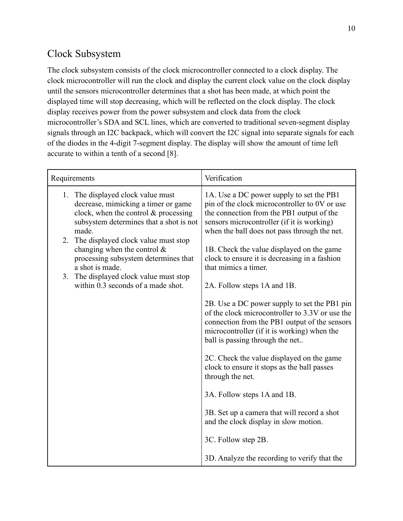## Clock Subsystem

The clock subsystem consists of the clock microcontroller connected to a clock display. The clock microcontroller will run the clock and display the current clock value on the clock display until the sensors microcontroller determines that a shot has been made, at which point the displayed time will stop decreasing, which will be reflected on the clock display. The clock display receives power from the power subsystem and clock data from the clock microcontroller's SDA and SCL lines, which are converted to traditional seven-segment display signals through an I2C backpack, which will convert the I2C signal into separate signals for each of the diodes in the 4-digit 7-segment display. The display will show the amount of time left accurate to within a tenth of a second [8].

| Requirements                                                                                                                                                           | Verification                                                                                                                                                                                                                         |
|------------------------------------------------------------------------------------------------------------------------------------------------------------------------|--------------------------------------------------------------------------------------------------------------------------------------------------------------------------------------------------------------------------------------|
| 1. The displayed clock value must<br>decrease, mimicking a timer or game<br>clock, when the control $&$ processing<br>subsystem determines that a shot is not<br>made. | 1A. Use a DC power supply to set the PB1<br>pin of the clock microcontroller to 0V or use<br>the connection from the PB1 output of the<br>sensors microcontroller (if it is working)<br>when the ball does not pass through the net. |
| The displayed clock value must stop<br>2.<br>changing when the control $\&$<br>processing subsystem determines that<br>a shot is made.                                 | 1B. Check the value displayed on the game<br>clock to ensure it is decreasing in a fashion<br>that mimics a timer.                                                                                                                   |
| The displayed clock value must stop<br>3.<br>within 0.3 seconds of a made shot.                                                                                        | 2A. Follow steps 1A and 1B.                                                                                                                                                                                                          |
|                                                                                                                                                                        | 2B. Use a DC power supply to set the PB1 pin<br>of the clock microcontroller to 3.3V or use the<br>connection from the PB1 output of the sensors<br>microcontroller (if it is working) when the<br>ball is passing through the net   |
|                                                                                                                                                                        | 2C. Check the value displayed on the game<br>clock to ensure it stops as the ball passes<br>through the net.                                                                                                                         |
|                                                                                                                                                                        | 3A. Follow steps 1A and 1B.                                                                                                                                                                                                          |
|                                                                                                                                                                        | 3B. Set up a camera that will record a shot<br>and the clock display in slow motion.                                                                                                                                                 |
|                                                                                                                                                                        | 3C. Follow step 2B.                                                                                                                                                                                                                  |
|                                                                                                                                                                        | 3D. Analyze the recording to verify that the                                                                                                                                                                                         |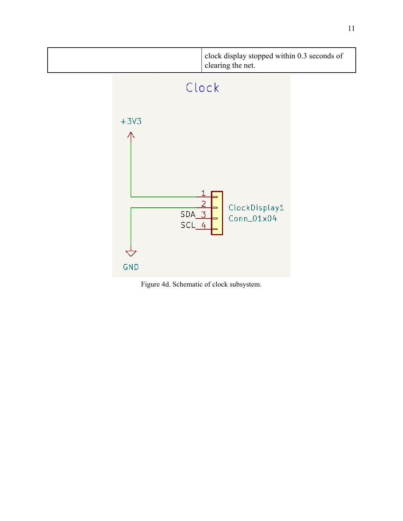

Figure 4d. Schematic of clock subsystem.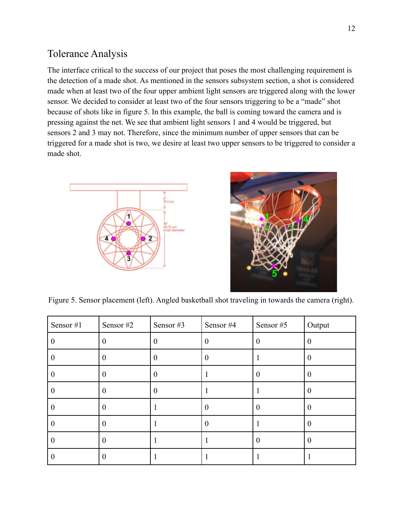#### Tolerance Analysis

The interface critical to the success of our project that poses the most challenging requirement is the detection of a made shot. As mentioned in the sensors subsystem section, a shot is considered made when at least two of the four upper ambient light sensors are triggered along with the lower sensor. We decided to consider at least two of the four sensors triggering to be a "made" shot because of shots like in figure 5. In this example, the ball is coming toward the camera and is pressing against the net. We see that ambient light sensors 1 and 4 would be triggered, but sensors 2 and 3 may not. Therefore, since the minimum number of upper sensors that can be triggered for a made shot is two, we desire at least two upper sensors to be triggered to consider a made shot.





Figure 5. Sensor placement (left). Angled basketball shot traveling in towards the camera (right).

| Sensor #1 | Sensor #2 | Sensor #3 | Sensor #4 | Sensor #5 | Output   |
|-----------|-----------|-----------|-----------|-----------|----------|
|           |           |           | O         | 0         | 0        |
| U         |           | 0         |           |           | $\theta$ |
| v         |           | 0         |           | $\theta$  | $\theta$ |
| O         |           | 0         |           |           | O        |
| $\bf{0}$  |           |           | 0         | $\theta$  | $\theta$ |
| $\theta$  |           |           | $\Omega$  |           | $\Omega$ |
| $\theta$  |           |           |           | $\theta$  | $\Omega$ |
| v         |           |           |           |           |          |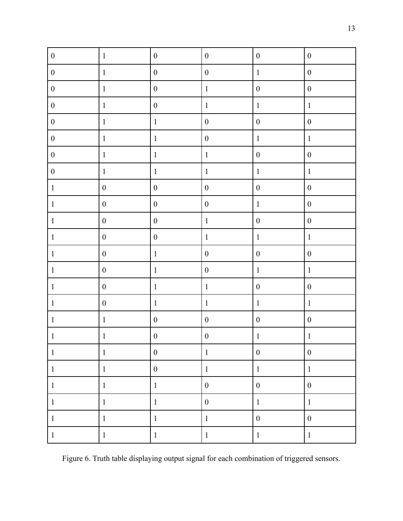| $\boldsymbol{0}$ | $\mathbf{1}$     | $\boldsymbol{0}$ | $\boldsymbol{0}$ | $\boldsymbol{0}$ | $\boldsymbol{0}$ |
|------------------|------------------|------------------|------------------|------------------|------------------|
| $\boldsymbol{0}$ | $\mathbf 1$      | $\boldsymbol{0}$ | $\boldsymbol{0}$ | $\mathbf{1}$     | $\boldsymbol{0}$ |
| $\boldsymbol{0}$ | $\mathbf 1$      | $\boldsymbol{0}$ | $\mathbf{1}$     | $\boldsymbol{0}$ | $\boldsymbol{0}$ |
| $\boldsymbol{0}$ | $\mathbf{1}$     | $\boldsymbol{0}$ | $\mathbf{1}$     | $\mathbf{1}$     | $\,1$            |
| $\boldsymbol{0}$ | $\mathbf{1}$     | $\,1$            | $\boldsymbol{0}$ | $\boldsymbol{0}$ | $\boldsymbol{0}$ |
| $\boldsymbol{0}$ | $\mathbf{1}$     | $\,1$            | $\boldsymbol{0}$ | $\mathbf{1}$     | $\mathbf 1$      |
| $\boldsymbol{0}$ | $\mathbf{1}$     | $\,1$            | $\mathbf{1}$     | $\boldsymbol{0}$ | $\boldsymbol{0}$ |
| $\boldsymbol{0}$ | $\mathbf 1$      | $\,1$            | $\mathbf{1}$     | $\,1\,$          | $\,1$            |
| $\,1\,$          | $\boldsymbol{0}$ | $\boldsymbol{0}$ | $\boldsymbol{0}$ | $\boldsymbol{0}$ | $\boldsymbol{0}$ |
| $\mathbf{1}$     | $\boldsymbol{0}$ | $\boldsymbol{0}$ | $\boldsymbol{0}$ | $\mathbf{1}$     | $\boldsymbol{0}$ |
| $\mathbf{1}$     | $\boldsymbol{0}$ | $\boldsymbol{0}$ | $\mathbf{1}$     | $\boldsymbol{0}$ | $\boldsymbol{0}$ |
| $\mathbf{1}$     | $\boldsymbol{0}$ | $\boldsymbol{0}$ | $\mathbf{1}$     | $\mathbf{1}$     | $\,1$            |
| $\mathbf{1}$     | $\boldsymbol{0}$ | $\,1\,$          | $\boldsymbol{0}$ | $\boldsymbol{0}$ | $\boldsymbol{0}$ |
| $\mathbf{1}$     | $\boldsymbol{0}$ | $\mathbf{1}$     | $\boldsymbol{0}$ | $\mathbf{1}$     | $\,1\,$          |
| $\mathbf{1}$     | $\boldsymbol{0}$ | $\mathbf{1}$     | $\mathbf{1}$     | $\boldsymbol{0}$ | $\boldsymbol{0}$ |
| $\mathbf{1}$     | $\boldsymbol{0}$ | $\,1$            | $\mathbf{1}$     | $\mathbf{1}$     | $\boldsymbol{1}$ |
| $\mathbf{1}$     | $\mathbf{1}$     | $\boldsymbol{0}$ | $\boldsymbol{0}$ | $\boldsymbol{0}$ | $\boldsymbol{0}$ |
| $\mathbf{1}$     | $\,1$            | $\boldsymbol{0}$ | $\boldsymbol{0}$ | $\mathbf 1$      | $\,1\,$          |
| $\mathbf{1}$     | $\mathbf{1}$     | $\boldsymbol{0}$ | $\mathbf{1}$     | $\boldsymbol{0}$ | $\boldsymbol{0}$ |
| $\mathbf{1}$     | $\mathbf{1}$     | $\boldsymbol{0}$ | $\mathbf{1}$     | $\mathbf{1}$     | $\mathbf{1}$     |
| $\mathbf{1}$     | $\mathbf{1}$     | $\mathbf{1}$     | $\boldsymbol{0}$ | $\boldsymbol{0}$ | $\boldsymbol{0}$ |
| $\mathbf{1}$     | $\mathbf{1}$     | $\,1$            | $\boldsymbol{0}$ | $\mathbf{1}$     | $\mathbf{1}$     |
| $\mathbf{1}$     | $\mathbf{1}$     | $\,1\,$          | $\mathbf{1}$     | $\boldsymbol{0}$ | $\boldsymbol{0}$ |
| $\mathbf{1}$     | $\mathbf{1}$     | $\,1$            | $\mathbf{1}$     | $\mathbf{1}$     | $\mathbf{1}$     |

Figure 6. Truth table displaying output signal for each combination of triggered sensors.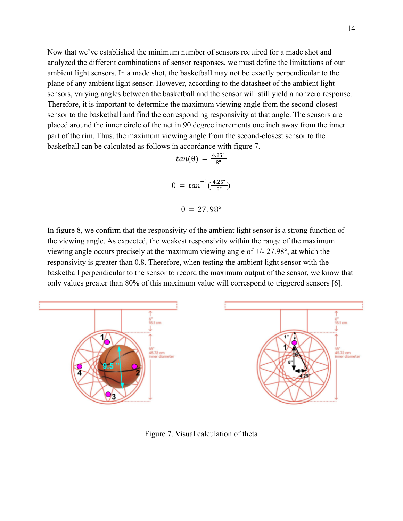Now that we've established the minimum number of sensors required for a made shot and analyzed the different combinations of sensor responses, we must define the limitations of our ambient light sensors. In a made shot, the basketball may not be exactly perpendicular to the plane of any ambient light sensor. However, according to the datasheet of the ambient light sensors, varying angles between the basketball and the sensor will still yield a nonzero response. Therefore, it is important to determine the maximum viewing angle from the second-closest sensor to the basketball and find the corresponding responsivity at that angle. The sensors are placed around the inner circle of the net in 90 degree increments one inch away from the inner part of the rim. Thus, the maximum viewing angle from the second-closest sensor to the basketball can be calculated as follows in accordance with figure 7.

$$
tan(\theta) = \frac{4.25^{\circ}}{8^{\circ}}
$$

$$
\theta = tan^{-1}(\frac{4.25^{\circ}}{8^{\circ}})
$$

$$
\theta = 27.98^{\circ}
$$

In figure 8, we confirm that the responsivity of the ambient light sensor is a strong function of the viewing angle. As expected, the weakest responsivity within the range of the maximum viewing angle occurs precisely at the maximum viewing angle of +/- 27.98°, at which the responsivity is greater than 0.8. Therefore, when testing the ambient light sensor with the basketball perpendicular to the sensor to record the maximum output of the sensor, we know that only values greater than 80% of this maximum value will correspond to triggered sensors [6].



Figure 7. Visual calculation of theta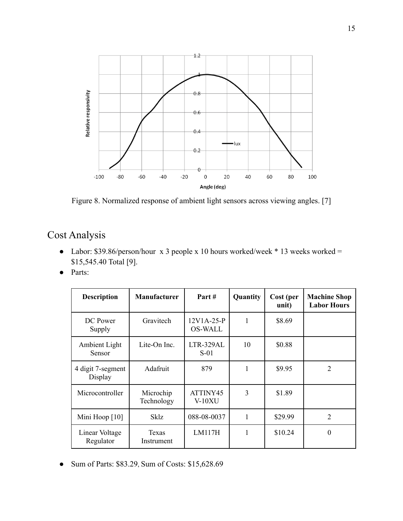

Figure 8. Normalized response of ambient light sensors across viewing angles. [7]

## Cost Analysis

- Labor: \$39.86/person/hour x 3 people x 10 hours worked/week  $*$  13 weeks worked = \$15,545.40 Total [9].
- Parts:

| <b>Description</b>           | <b>Manufacturer</b>     | Part #                       | Quantity     | Cost (per<br>unit) | <b>Machine Shop</b><br><b>Labor Hours</b> |
|------------------------------|-------------------------|------------------------------|--------------|--------------------|-------------------------------------------|
| DC Power<br>Supply           | Gravitech               | 12V1A-25-P<br><b>OS-WALL</b> | 1            | \$8.69             |                                           |
| Ambient Light<br>Sensor      | Lite-On Inc.            | LTR-329AL<br>$S-01$          | 10           | \$0.88             |                                           |
| 4 digit 7-segment<br>Display | Adafruit                | 879                          | 1            | \$9.95             | 2                                         |
| Microcontroller              | Microchip<br>Technology | ATTINY45<br>V-10XU           | 3            | \$1.89             |                                           |
| Mini Hoop [10]               | Sklz                    | 088-08-0037                  | $\mathbf{1}$ | \$29.99            | $\overline{2}$                            |
| Linear Voltage<br>Regulator  | Texas<br>Instrument     | LM117H                       | 1            | \$10.24            | $\Omega$                                  |

● Sum of Parts: \$83.29, Sum of Costs: \$15,628.69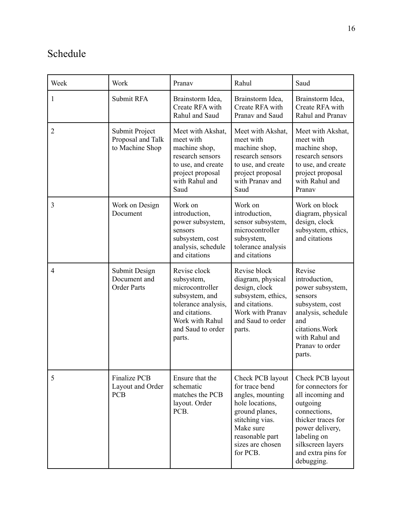# Schedule

| Week           | Work                                                   | Pranav                                                                                                                                                     | Rahul                                                                                                                                                                          | Saud                                                                                                                                                                                                    |
|----------------|--------------------------------------------------------|------------------------------------------------------------------------------------------------------------------------------------------------------------|--------------------------------------------------------------------------------------------------------------------------------------------------------------------------------|---------------------------------------------------------------------------------------------------------------------------------------------------------------------------------------------------------|
| 1              | Submit RFA                                             | Brainstorm Idea,<br>Create RFA with<br>Rahul and Saud                                                                                                      | Brainstorm Idea,<br>Create RFA with<br>Pranav and Saud                                                                                                                         | Brainstorm Idea,<br>Create RFA with<br>Rahul and Pranav                                                                                                                                                 |
| $\overline{2}$ | Submit Project<br>Proposal and Talk<br>to Machine Shop | Meet with Akshat,<br>meet with<br>machine shop,<br>research sensors<br>to use, and create<br>project proposal<br>with Rahul and<br>Saud                    | Meet with Akshat,<br>meet with<br>machine shop,<br>research sensors<br>to use, and create<br>project proposal<br>with Pranav and<br>Saud                                       | Meet with Akshat,<br>meet with<br>machine shop,<br>research sensors<br>to use, and create<br>project proposal<br>with Rahul and<br>Pranav                                                               |
| 3              | Work on Design<br>Document                             | Work on<br>introduction,<br>power subsystem,<br>sensors<br>subsystem, cost<br>analysis, schedule<br>and citations                                          | Work on<br>introduction,<br>sensor subsystem,<br>microcontroller<br>subsystem,<br>tolerance analysis<br>and citations                                                          | Work on block<br>diagram, physical<br>design, clock<br>subsystem, ethics,<br>and citations                                                                                                              |
| 4              | Submit Design<br>Document and<br><b>Order Parts</b>    | Revise clock<br>subsystem,<br>microcontroller<br>subsystem, and<br>tolerance analysis,<br>and citations.<br>Work with Rahul<br>and Saud to order<br>parts. | Revise block<br>diagram, physical<br>design, clock<br>subsystem, ethics,<br>and citations.<br>Work with Pranav<br>and Saud to order<br>parts.                                  | Revise<br>introduction,<br>power subsystem,<br>sensors<br>subsystem, cost<br>analysis, schedule<br>and<br>citations. Work<br>with Rahul and<br>Pranav to order<br>parts.                                |
| 5              | <b>Finalize PCB</b><br>Layout and Order<br><b>PCB</b>  | Ensure that the<br>schematic<br>matches the PCB<br>layout. Order<br>PCB.                                                                                   | Check PCB layout<br>for trace bend<br>angles, mounting<br>hole locations,<br>ground planes,<br>stitching vias.<br>Make sure<br>reasonable part<br>sizes are chosen<br>for PCB. | Check PCB layout<br>for connectors for<br>all incoming and<br>outgoing<br>connections,<br>thicker traces for<br>power delivery,<br>labeling on<br>silkscreen layers<br>and extra pins for<br>debugging. |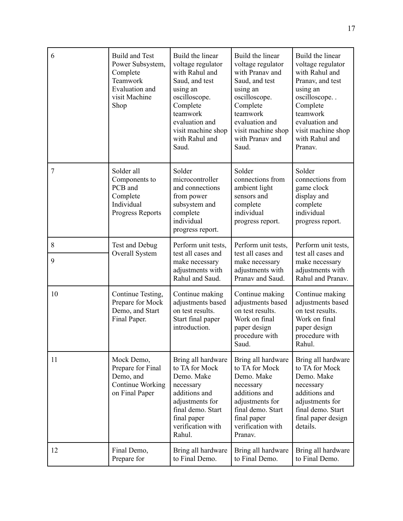| 6              | <b>Build and Test</b><br>Power Subsystem,<br>Complete<br>Teamwork<br>Evaluation and<br>visit Machine<br>Shop | Build the linear<br>voltage regulator<br>with Rahul and<br>Saud, and test<br>using an<br>oscilloscope.<br>Complete<br>teamwork<br>evaluation and<br>visit machine shop<br>with Rahul and<br>Saud. | Build the linear<br>voltage regulator<br>with Pranav and<br>Saud, and test<br>using an<br>oscilloscope.<br>Complete<br>teamwork<br>evaluation and<br>visit machine shop<br>with Pranav and<br>Saud. | Build the linear<br>voltage regulator<br>with Rahul and<br>Pranav, and test<br>using an<br>oscilloscope<br>Complete<br>teamwork<br>evaluation and<br>visit machine shop<br>with Rahul and<br>Pranav. |
|----------------|--------------------------------------------------------------------------------------------------------------|---------------------------------------------------------------------------------------------------------------------------------------------------------------------------------------------------|-----------------------------------------------------------------------------------------------------------------------------------------------------------------------------------------------------|------------------------------------------------------------------------------------------------------------------------------------------------------------------------------------------------------|
| $\overline{7}$ | Solder all<br>Components to<br>PCB and<br>Complete<br>Individual<br>Progress Reports                         | Solder<br>microcontroller<br>and connections<br>from power<br>subsystem and<br>complete<br>individual<br>progress report.                                                                         | Solder<br>connections from<br>ambient light<br>sensors and<br>complete<br>individual<br>progress report.                                                                                            | Solder<br>connections from<br>game clock<br>display and<br>complete<br>individual<br>progress report.                                                                                                |
| 8<br>9         | Test and Debug<br>Overall System                                                                             | Perform unit tests,<br>test all cases and<br>make necessary<br>adjustments with<br>Rahul and Saud.                                                                                                | Perform unit tests,<br>test all cases and<br>make necessary<br>adjustments with<br>Pranav and Saud.                                                                                                 | Perform unit tests,<br>test all cases and<br>make necessary<br>adjustments with<br>Rahul and Pranav.                                                                                                 |
| 10             | Continue Testing,<br>Prepare for Mock<br>Demo, and Start<br>Final Paper.                                     | Continue making<br>adjustments based<br>on test results.<br>Start final paper<br>introduction.                                                                                                    | Continue making<br>adjustments based<br>on test results.<br>Work on final<br>paper design<br>procedure with<br>Saud.                                                                                | Continue making<br>adjustments based<br>on test results.<br>Work on final<br>paper design<br>procedure with<br>Rahul.                                                                                |
| 11             | Mock Demo,<br>Prepare for Final<br>Demo, and<br><b>Continue Working</b><br>on Final Paper                    | Bring all hardware<br>to TA for Mock<br>Demo. Make<br>necessary<br>additions and<br>adjustments for<br>final demo. Start<br>final paper<br>verification with<br>Rahul.                            | Bring all hardware<br>to TA for Mock<br>Demo. Make<br>necessary<br>additions and<br>adjustments for<br>final demo. Start<br>final paper<br>verification with<br>Pranav.                             | Bring all hardware<br>to TA for Mock<br>Demo. Make<br>necessary<br>additions and<br>adjustments for<br>final demo. Start<br>final paper design<br>details.                                           |
| 12             | Final Demo,<br>Prepare for                                                                                   | Bring all hardware<br>to Final Demo.                                                                                                                                                              | Bring all hardware<br>to Final Demo.                                                                                                                                                                | Bring all hardware<br>to Final Demo.                                                                                                                                                                 |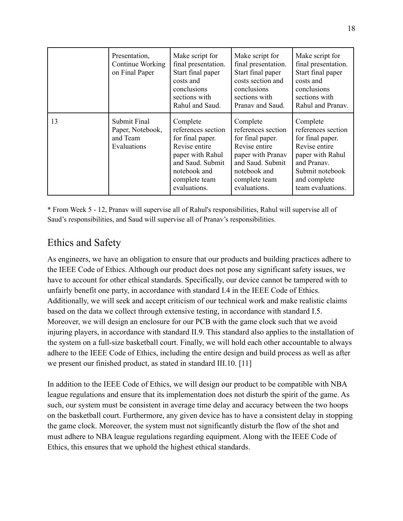|    | Presentation,<br>Continue Working<br>on Final Paper         | Make script for<br>final presentation.<br>Start final paper<br>costs and<br>conclusions<br>sections with<br>Rahul and Saud.                                  | Make script for<br>final presentation.<br>Start final paper<br>costs section and<br>conclusions<br>sections with<br>Pranav and Saud.                          | Make script for<br>final presentation.<br>Start final paper<br>costs and<br>conclusions<br>sections with<br>Rahul and Pranav.                                  |
|----|-------------------------------------------------------------|--------------------------------------------------------------------------------------------------------------------------------------------------------------|---------------------------------------------------------------------------------------------------------------------------------------------------------------|----------------------------------------------------------------------------------------------------------------------------------------------------------------|
| 13 | Submit Final<br>Paper, Notebook,<br>and Team<br>Evaluations | Complete<br>references section<br>for final paper.<br>Revise entire<br>paper with Rahul<br>and Saud. Submit<br>notebook and<br>complete team<br>evaluations. | Complete<br>references section<br>for final paper.<br>Revise entire<br>paper with Pranav<br>and Saud. Submit<br>notebook and<br>complete team<br>evaluations. | Complete<br>references section<br>for final paper.<br>Revise entire<br>paper with Rahul<br>and Pranav.<br>Submit notebook<br>and complete<br>team evaluations. |

\* From Week 5 - 12, Pranav will supervise all of Rahul's responsibilities, Rahul will supervise all of Saud's responsibilities, and Saud will supervise all of Pranav's responsibilities.

## Ethics and Safety

As engineers, we have an obligation to ensure that our products and building practices adhere to the IEEE Code of Ethics. Although our product does not pose any significant safety issues, we have to account for other ethical standards. Specifically, our device cannot be tampered with to unfairly benefit one party, in accordance with standard I.4 in the IEEE Code of Ethics. Additionally, we will seek and accept criticism of our technical work and make realistic claims based on the data we collect through extensive testing, in accordance with standard I.5. Moreover, we will design an enclosure for our PCB with the game clock such that we avoid injuring players, in accordance with standard II.9. This standard also applies to the installation of the system on a full-size basketball court. Finally, we will hold each other accountable to always adhere to the IEEE Code of Ethics, including the entire design and build process as well as after we present our finished product, as stated in standard III.10. [11]

In addition to the IEEE Code of Ethics, we will design our product to be compatible with NBA league regulations and ensure that its implementation does not disturb the spirit of the game. As such, our system must be consistent in average time delay and accuracy between the two hoops on the basketball court. Furthermore, any given device has to have a consistent delay in stopping the game clock. Moreover, the system must not significantly disturb the flow of the shot and must adhere to NBA league regulations regarding equipment. Along with the IEEE Code of Ethics, this ensures that we uphold the highest ethical standards.